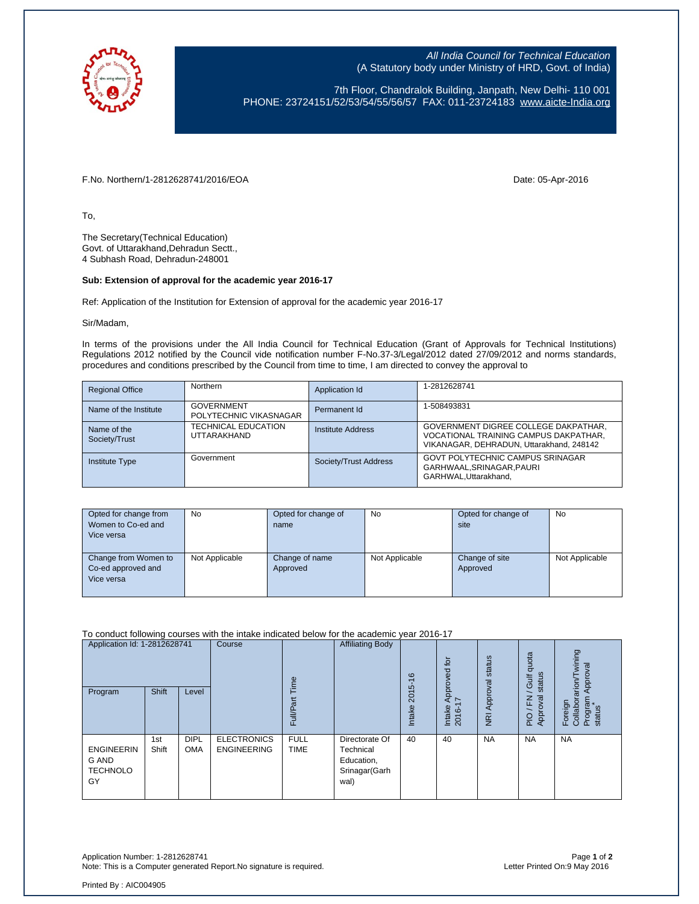

All India Council for Technical Education (A Statutory body under Ministry of HRD, Govt. of India)

7th Floor, Chandralok Building, Janpath, New Delhi- 110 001 PHONE: 23724151/52/53/54/55/56/57 FAX: 011-23724183 [www.aicte-India.org](http://www.aicte-india.org/)

F.No. Northern/1-2812628741/2016/EOA Date: 05-Apr-2016

To,

The Secretary(Technical Education) Govt. of Uttarakhand,Dehradun Sectt., 4 Subhash Road, Dehradun-248001

## **Sub: Extension of approval for the academic year 2016-17**

Ref: Application of the Institution for Extension of approval for the academic year 2016-17

Sir/Madam,

In terms of the provisions under the All India Council for Technical Education (Grant of Approvals for Technical Institutions) Regulations 2012 notified by the Council vide notification number F-No.37-3/Legal/2012 dated 27/09/2012 and norms standards, procedures and conditions prescribed by the Council from time to time, I am directed to convey the approval to

| <b>Regional Office</b>       | <b>Northern</b>                             | Application Id        | 1-2812628741                                                                                                              |
|------------------------------|---------------------------------------------|-----------------------|---------------------------------------------------------------------------------------------------------------------------|
| Name of the Institute        | <b>GOVERNMENT</b><br>POLYTECHNIC VIKASNAGAR | Permanent Id          | 1-508493831                                                                                                               |
| Name of the<br>Society/Trust | <b>TECHNICAL EDUCATION</b><br>UTTARAKHAND   | Institute Address     | GOVERNMENT DIGREE COLLEGE DAKPATHAR,<br>VOCATIONAL TRAINING CAMPUS DAKPATHAR,<br>VIKANAGAR, DEHRADUN, Uttarakhand, 248142 |
| <b>Institute Type</b>        | Government                                  | Society/Trust Address | <b>GOVT POLYTECHNIC CAMPUS SRINAGAR</b><br>GARHWAAL.SRINAGAR.PAURI<br>GARHWAL.Uttarakhand.                                |

| Opted for change from<br>Women to Co-ed and<br>Vice versa | No.            | Opted for change of<br>name | No             | Opted for change of<br>site | No             |
|-----------------------------------------------------------|----------------|-----------------------------|----------------|-----------------------------|----------------|
| Change from Women to<br>Co-ed approved and<br>Vice versa  | Not Applicable | Change of name<br>Approved  | Not Applicable | Change of site<br>Approved  | Not Applicable |

To conduct following courses with the intake indicated below for the academic year 2016-17

| Application Id: 1-2812628741                        |              | Course                    | ime                                      | <b>Affiliating Body</b>    | $\frac{6}{5}$                                                      | ίō<br>Approved     | status                            | quota<br>status<br>Gulf | wining<br>pproval<br>$\alpha$ rion $\pi$ |                                                |
|-----------------------------------------------------|--------------|---------------------------|------------------------------------------|----------------------------|--------------------------------------------------------------------|--------------------|-----------------------------------|-------------------------|------------------------------------------|------------------------------------------------|
| Program                                             | <b>Shift</b> | Level                     |                                          | ೯<br>Full/P                |                                                                    | 5<br>201<br>Intake | $\overline{ }$<br>Intake<br>2016- | NRI Approval            | 준<br>ত্ত্<br>ō<br>Appr<br>$\frac{1}{2}$  | ₹<br>Collabora<br>Program<br>Foreign<br>status |
| <b>ENGINEERIN</b><br>G AND<br><b>TECHNOLO</b><br>GY | 1st<br>Shift | <b>DIPL</b><br><b>OMA</b> | <b>ELECTRONICS</b><br><b>ENGINEERING</b> | <b>FULL</b><br><b>TIME</b> | Directorate Of<br>Technical<br>Education,<br>Srinagar(Garh<br>wal) | 40                 | 40                                | <b>NA</b>               | <b>NA</b>                                | <b>NA</b>                                      |

Application Number: 1-2812628741 Page **1** of **2** Note: This is a Computer generated Report.No signature is required.